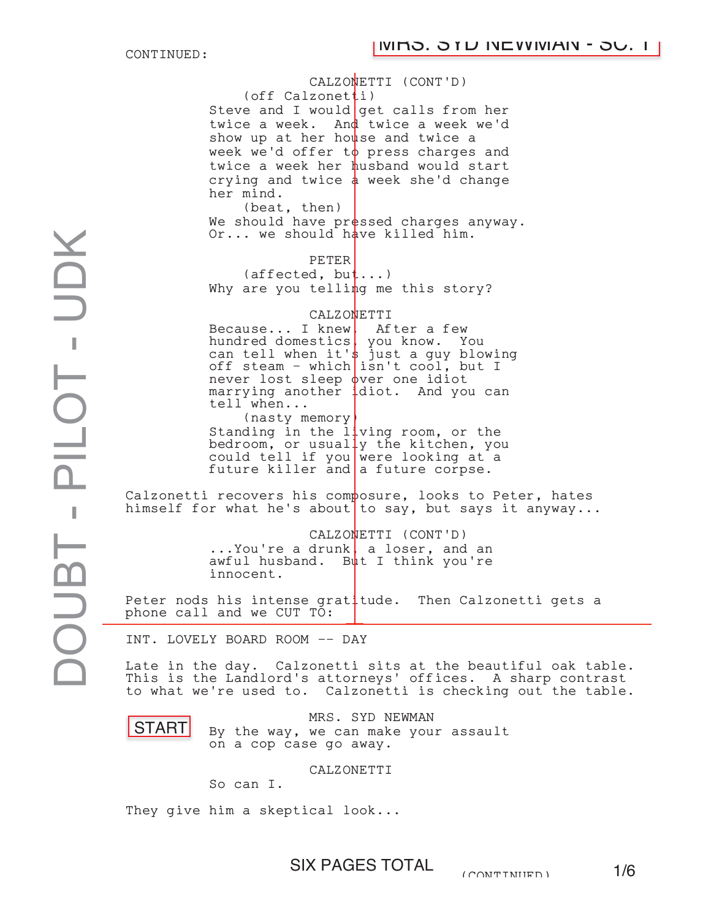CONTINUED:

CALZONETTI (CONT'D)  $(\text{off } \text{Calzonet}^{\text{th}})$ Steve and I would get calls from her twice a week. And twice a week we'd show up at her house and twice a week we'd offer t $\phi$  press charges and twice a week her husband would start crying and twice  $\frac{1}{2}$  week she'd change her mind. (beat, then) We should have  $\texttt{pr}$ essed charges anyway. Or... we should have killed him. PETER PETER<br>(affected, but...) Why are you telling me this story? CALZONETTI Because... I knew, After a few hundred domestics, you know. You can tell when it's just a guy blowing off steam - which isn't cool, but I never lost sleep over one idiot marrying another idiot. And you can tell when... (nasty memory) (nasty memory)<br>Standing in the living room, or the bedroom, or usually the kitchen, you could tell if you were looking at a future killer and a future corpse. Calzonetti recovers his composure, looks to Peter, hates himself for what he's about to say, but says it anyway... CALZONETTI (CONT'D) ... You're a drunk, a loser, and an awful husband. But I think you're innocent. Peter nods his intense gratitude. Then Calzonetti gets a phone call and we CUT TO: INT. LOVELY BOARD ROOM -- DAY Late in the day. Calzonetti sits at the beautiful oak table. This is the Landlord's attorneys' offices. A sharp contrast to what we're used to. Calzonetti is checking out the table. MR4. SYD NEWMAN Otdnot a rh Rui Ows-h Yllud mpt OkB the DAY Day of Business of Day of Ether Property of Ether Property of Ether Property of Ether Property of Ether Property of Ether Property of Ether Property of Ether Property of Ether Pr s, 's h i φv  $\frac{1}{4}$ d u | w d  $|a|$ 

START

By the way, we can make your assault on a cop case go away.

CALZONETTI

So can I.

They give him a skeptical look...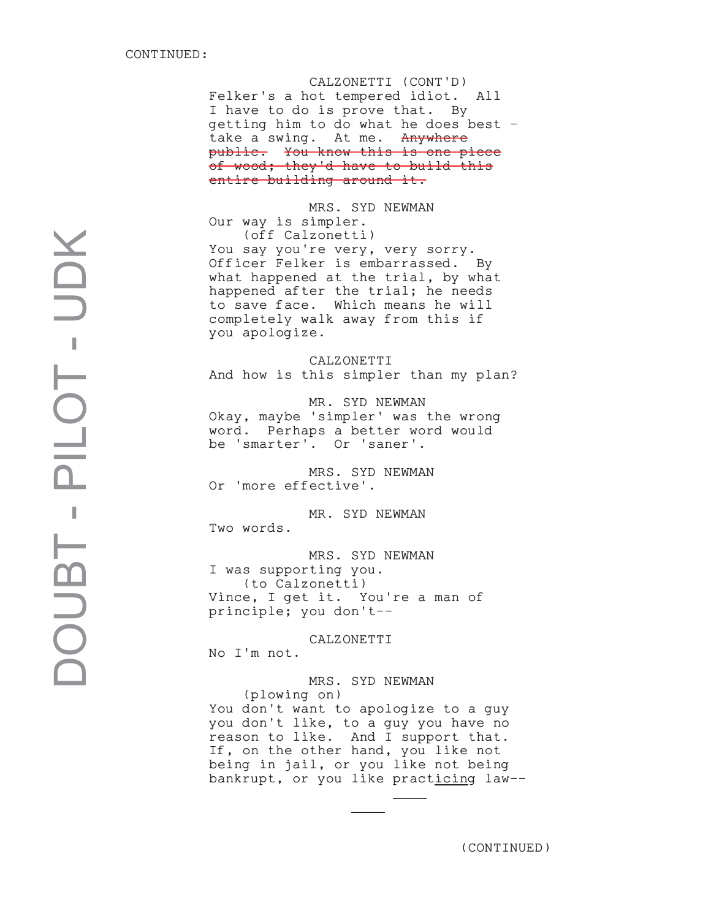CALZONETTI (CONT'D) Felker's a hot tempered idiot. All I have to do is prove that. By getting him to do what he does best take a swing. At me. Anywhere public. You know this is one piece of wood; they'd have to build this entire building around it.

MRS. SYD NEWMAN Our way is simpler. (off Calzonetti) You say you're very, very sorry. Officer Felker is embarrassed. By what happened at the trial, by what happened after the trial; he needs to save face. Which means he will completely walk away from this if you apologize.

CALZONETTI And how is this simpler than my plan?

MR. SYD NEWMAN Okay, maybe 'simpler' was the wrong word. Perhaps a better word would be 'smarter'. Or 'saner'.

MRS. SYD NEWMAN Or 'more effective'.

MR. SYD NEWMAN Two words.

MRS. SYD NEWMAN I was supporting you. (to Calzonetti) Vince, I get it. You're a man of principle; you don't--

### CALZONETTI

No I'm not.

MRS. SYD NEWMAN

(plowing on) You don't want to apologize to a guy you don't like, to a guy you have no reason to like. And I support that. If, on the other hand, you like not being in jail, or you like not being bankrupt, or you like practicing law--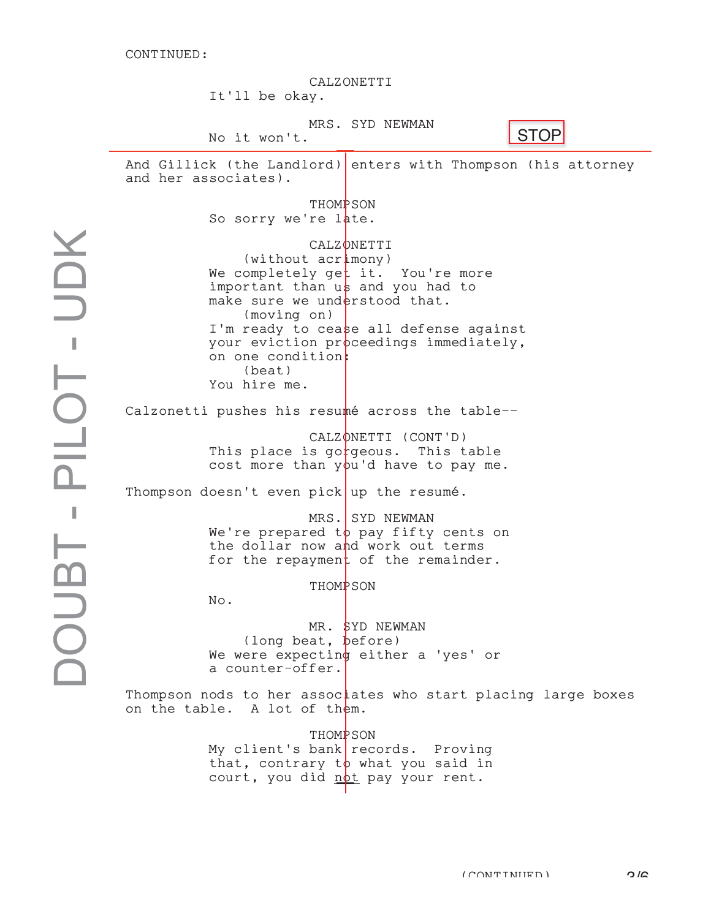CALZONETTI It'll be okay. MRS. SYD NEWMAN No it won't. No it won't.<br>And Gillick (the Landlord) enters with Thompson (his attorney and her associates). THOMP SON So sorry we're late. CALZ ONETTI  $(without acr \n *imony*)$ We completely get it. You're more important than us and you had to make sure we understood that. (moving on) I'm ready to cease all defense against your eviction proceedings immediately, on one condition: (beat) You hire me. on one condition:<br>
(beat)<br>
You hire me.<br>
Calzonetti pushes his resumé across the table--CALZONETTI (CONT'D) This place is go $r$ geous. This table cost more than you'd have to pay me. Thompson doesn't even pick up the resumé. MRS. SYD NEWMAN We're prepared to pay fifty cents on the dollar now and work out terms for the repayment of the remainder. THOMP SON No. MR. <mark>\$</mark>YD NEWMAN (long beat, before) We were expecting either a 'yes' or a counter-offer. a counter-offer.<br>Thompson nods to her associates who start placing large boxes on the table. A lot of them. THOMP SON My client's bank records. Proving that, contrary to what you said in court, you did <u>not</u> pay your rent.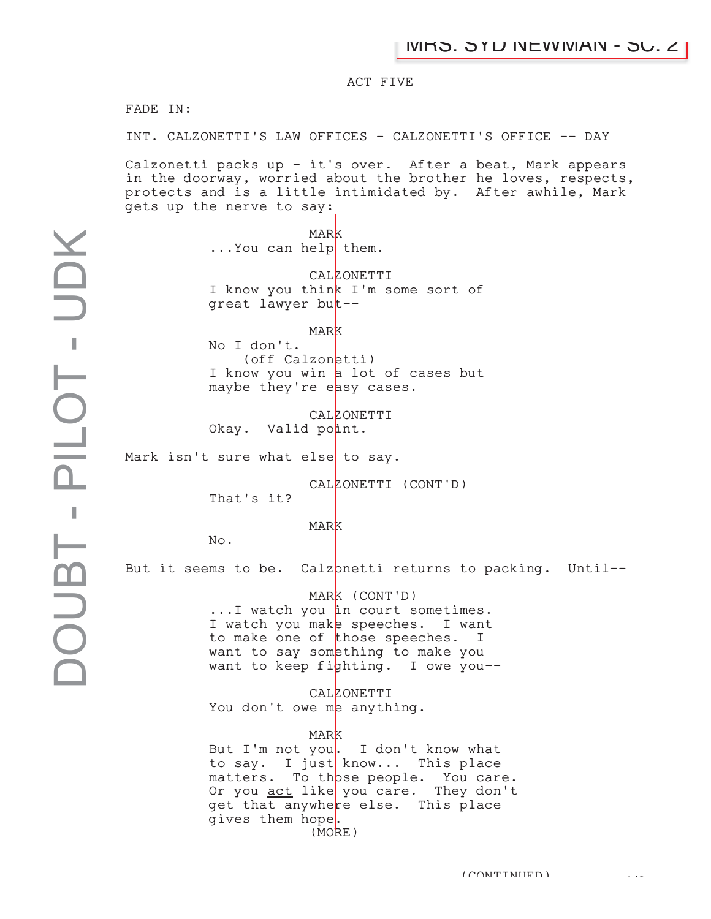## ACT FIVE

FADE IN:

INT. CALZONETTI'S LAW OFFICES - CALZONETTI'S OFFICE -- DAY

Calzonetti packs up - it's over. After a beat, Mark appears in the doorway, worried about the brother he loves, respects, protects and is a little intimidated by. After awhile, Mark gets up the nerve to say:

> **MARK** ... You can help them.

CALZONETTI I know you think I'm some sort of great lawyer but--

MARK No I don't. (off Calzonetti) I know you win a lot of cases but maybe they're easy cases.

CALZONETTI Okay. Valid point.

Mark isn't sure what else to say.

CALZONETTI (CONT'D)

That's it?

MARK

No.

But it seems to be. Calzonetti returns to packing. Until--

MARK (CONT'D)

...I watch you <mark>in court sometimes.</mark> I watch you make speeches. I want to make one of those speeches. Ι want to say something to make you want to keep fighting. I owe you--

CALZONETTI You don't owe me anything.

#### MARK

But I'm not you. I don't know what to say. I just know... This place matters. To those people. You care. Or you act like you care. They don't get that anywhere else. This place gives them hope. (MORE)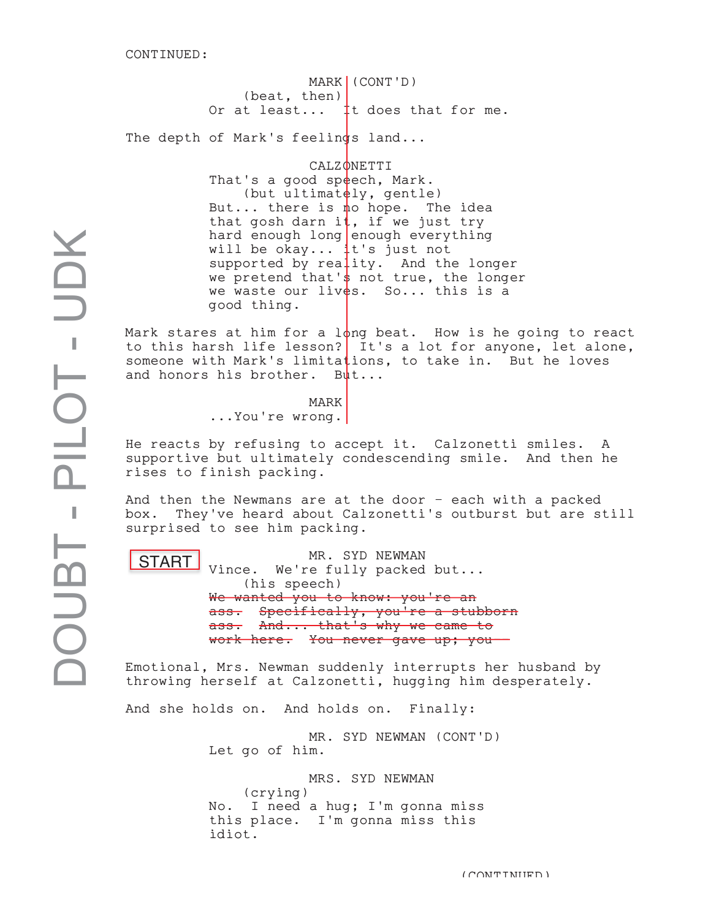MARK | (CONT'D) (beat, then) (beat, then)<br>Or at least...  $\begin{bmatrix} 1 \end{bmatrix}$  t does that for me.

The depth of Mark's feelings land...

CALZ ONETTI

That's a good speech, Mark. (but ultimat $e$ ly, gentle) But... there is no hope. The idea that gosh darn it, if we just try hard enough long enough everything will be okay... it's just not supported by reality. And the longer we pretend that's not true, the longer we waste our lives. So... this is a good thing.

Mark stares at him for a l $\phi$ ng beat. How is he going to react to this harsh life lesson? It's a lot for anyone, let alone, someone with Mark's limitations, to take in. But he loves and honors his brother. But...

> MARK ...You're wrong. K.

He reacts by refusing to accept it. Calzonetti smiles. A supportive but ultimately condescending smile. And then he rises to finish packing.

And then the Newmans are at the door - each with a packed box. They've heard about Calzonetti's outburst but are still surprised to see him packing.

START |

MR. SYD NEWMAN Vince. We're fully packed but... (his speech) We wanted you to know: you're an ass. Specifically, you're a stubborn ass. And... that's why we came to work here. You never gave up; you-

Emotional, Mrs. Newman suddenly interrupts her husband by throwing herself at Calzonetti, hugging him desperately.

And she holds on. And holds on. Finally:

MR. SYD NEWMAN (CONT'D) Let go of him.

MRS. SYD NEWMAN (crying) No. I need a hug; I'm gonna miss this place. I'm gonna miss this idiot.